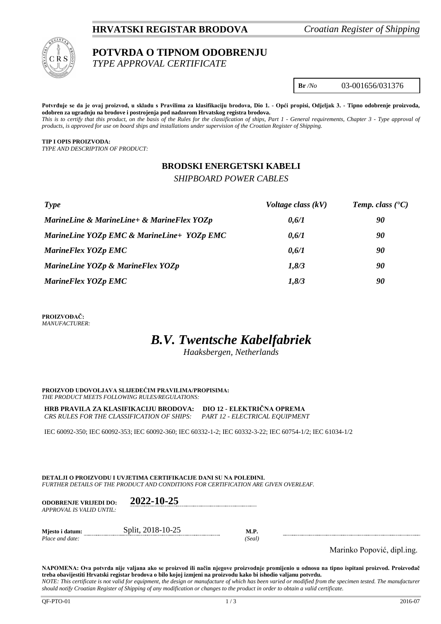### **HRVATSKI REGISTAR BRODOVA** *Croatian Register of Shipping*



# **POTVRDA O TIPNOM ODOBRENJU**

*TYPE APPROVAL CERTIFICATE*

**Br** */No* 03-001656/031376

**Potvrđuje se da je ovaj proizvod, u skladu s Pravilima za klasifikaciju brodova, Dio 1. - Opći propisi, Odjeljak 3. - Tipno odobrenje proizvoda, odobren za ugradnju na brodove i postrojenja pod nadzorom Hrvatskog registra brodova.** *This is to certify that this product, on the basis of the Rules for the classification of ships, Part 1 - General requirements, Chapter 3 - Type approval of products, is approved for use on board ships and installations under supervision of the Croatian Register of Shipping.*

**TIP I OPIS PROIZVODA:** *TYPE AND DESCRIPTION OF PRODUCT:*

## **BRODSKI ENERGETSKI KABELI**

*SHIPBOARD POWER CABLES*

| Type                                       | Voltage class $(kV)$ | <b>Temp.</b> class $(C)$ |
|--------------------------------------------|----------------------|--------------------------|
| MarineLine & MarineLine+ & MarineFlex YOZp | 0,6/1                | 90                       |
| MarineLine YOZp EMC & MarineLine+ YOZp EMC | 0,6/1                | 90                       |
| MarineFlex YOZp EMC                        | 0,6/1                | 90                       |
| MarineLine YOZp & MarineFlex YOZp          | 1,8/3                | 90                       |
| MarineFlex YOZp EMC                        | 1,8/3                | 90                       |

**PROIZVOĐAČ:** *MANUFACTURER:*

# *B.V. Twentsche Kabelfabriek*

*Haaksbergen, Netherlands*

**PROIZVOD UDOVOLJAVA SLIJEDEĆIM PRAVILIMA/PROPISIMA:** *THE PRODUCT MEETS FOLLOWING RULES/REGULATIONS:*

**HRB PRAVILA ZA KLASIFIKACIJU BRODOVA: DIO 12 - ELEKTRIČNA OPREMA** *CRS RULES FOR THE CLASSIFICATION OF SHIPS: PART 12 - ELECTRICAL EQUIPMENT*

IEC 60092-350; IEC 60092-353; IEC 60092-360; IEC 60332-1-2; IEC 60332-3-22; IEC 60754-1/2; IEC 61034-1/2

**DETALJI O PROIZVODU I UVJETIMA CERTIFIKACIJE DANI SU NA POLEĐINI.** *FURTHER DETAILS OF THE PRODUCT AND CONDITIONS FOR CERTIFICATION ARE GIVEN OVERLEAF.*

| <b>ODOBRENJE VRLIEDI DO:</b><br>APPROVAL IS VALID UNTIL: | 2022-10-25        |                       |
|----------------------------------------------------------|-------------------|-----------------------|
| Miesto i datum:<br>Place and date:                       | Split, 2018-10-25 | <b>M.P.</b><br>(Seal) |

Marinko Popović, dipl.ing.

**NAPOMENA: Ova potvrda nije valjana ako se proizvod ili način njegove proizvodnje promijenio u odnosu na tipno ispitani proizvod. Proizvođač treba obavijestiti Hrvatski registar brodova o bilo kojoj izmjeni na proizvodu kako bi ishodio valjanu potvrdu.** *NOTE: This certificate is not valid for equipment, the design or manufacture of which has been varied or modified from the specimen tested. The manufacturer*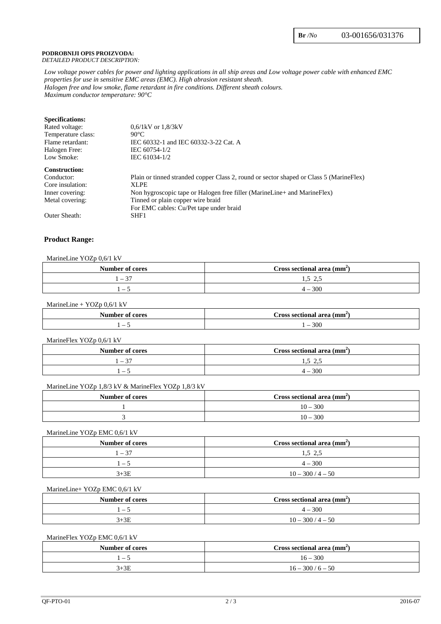#### **PODROBNIJI OPIS PROIZVODA:** *DETAILED PRODUCT DESCRIPTION:*

*Low voltage power cables for power and lighting applications in all ship areas and Low voltage power cable with enhanced EMC properties for use in sensitive EMC areas (EMC). High abrasion resistant sheath. Halogen free and low smoke, flame retardant in fire conditions. Different sheath colours. Maximum conductor temperature: 90°C*

| $0.6/1kV$ or $1.8/3kV$                                                                  |
|-----------------------------------------------------------------------------------------|
| $90^{\circ}$ C                                                                          |
| IEC 60332-1 and IEC 60332-3-22 Cat. A                                                   |
| IEC 60754-1/2                                                                           |
| IEC 61034-1/2                                                                           |
|                                                                                         |
| Plain or tinned stranded copper Class 2, round or sector shaped or Class 5 (MarineFlex) |
| XLPE                                                                                    |
| Non hygroscopic tape or Halogen free filler (MarineLine+ and MarineFlex)                |
| Tinned or plain copper wire braid                                                       |
| For EMC cables: Cu/Pet tape under braid                                                 |
| SHF1                                                                                    |
|                                                                                         |

### **Product Range:**

#### MarineLine YOZp 0,6/1 kV

| Number of cores                  | Cross sectional area $(mm2)$ |
|----------------------------------|------------------------------|
| - 37<br>$\overline{\phantom{0}}$ | L.)<br>ن ک                   |
| $ \cdot$                         | $4 - 300$                    |

#### MarineLine + YOZp 0,6/1 kV

| Bilaama k<br>$\mathbf{A}$<br>cores<br>$\sim$<br>ши | $(mm^2)$<br>area<br>dross sectional |
|----------------------------------------------------|-------------------------------------|
| -                                                  | 300<br>$\overline{\phantom{0}}$     |

#### MarineFlex YOZp 0,6/1 kV

| Number of cores                  | Cross sectional area (mm <sup>2</sup> ) |
|----------------------------------|-----------------------------------------|
| - 37<br>$\overline{\phantom{0}}$ | $\sim$<br>ر. د<br>ن ک                   |
|                                  | 300<br>$\Delta =$                       |

#### MarineLine YOZp 1,8/3 kV & MarineFlex YOZp 1,8/3 kV

| Number of cores | Cross sectional area $\text{(mm)}$ |
|-----------------|------------------------------------|
|                 | $10 - 300$                         |
|                 | $10 - 300$                         |

#### MarineLine YOZp EMC 0,6/1 kV

| Number of cores | Cross sectional area $(mm2)$ |
|-----------------|------------------------------|
| l – 37          | 1.5 2.5                      |
| $-5$            | $4 - 300$                    |
| $3+3E$          | $10 - 300 / 4 - 50$          |

#### MarineLine+ YOZp EMC 0,6/1 kV

| Number of cores          | Cross sectional area $(mm2)$ |
|--------------------------|------------------------------|
| $\overline{\phantom{m}}$ | $4 - 300$                    |
| $+3E$                    | $10 - 300/$<br>$4 - 50$      |

#### MarineFlex YOZp EMC 0,6/1 kV

| Number of cores | Cross sectional area $\text{(mm)}$ |
|-----------------|------------------------------------|
| . – *           | $16 - 300$                         |
| $+3E$           | $16 - 300 / 6 - 50$                |